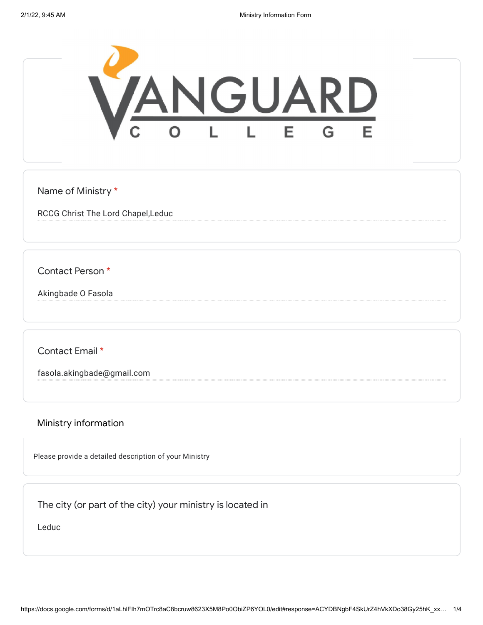

Name of Ministry \*

RCCG Christ The Lord Chapel,Leduc

Contact Person \*

Akingbade O Fasola

Contact Email \*

fasola.akingbade@gmail.com

Ministry information

Please provide a detailed description of your Ministry

The city (or part of the city) your ministry is located in

Leduc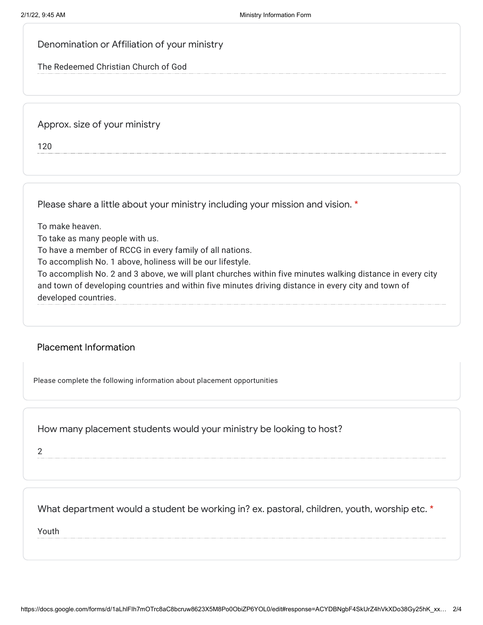## Denomination or Affiliation of your ministry

The Redeemed Christian Church of God

Approx. size of your ministry

120

Please share a little about your ministry including your mission and vision. \*

To make heaven.

To take as many people with us.

To have a member of RCCG in every family of all nations.

To accomplish No. 1 above, holiness will be our lifestyle.

To accomplish No. 2 and 3 above, we will plant churches within five minutes walking distance in every city and town of developing countries and within five minutes driving distance in every city and town of developed countries.

## Placement Information

Please complete the following information about placement opportunities

How many placement students would your ministry be looking to host?

2

## What department would a student be working in? ex. pastoral, children, youth, worship etc. \*

Youth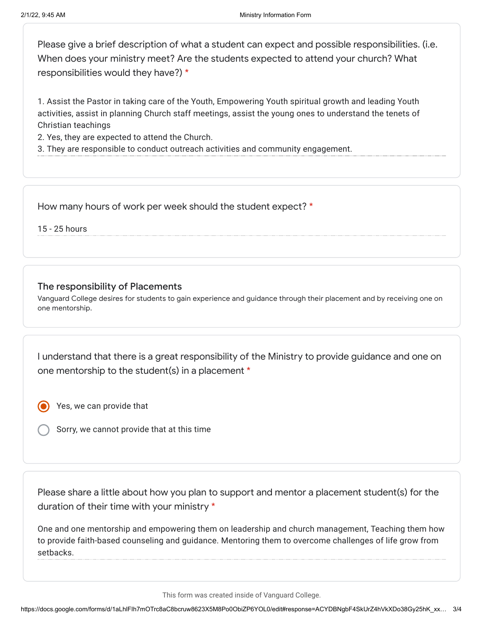Please give a brief description of what a student can expect and possible responsibilities. (i.e. When does your ministry meet? Are the students expected to attend your church? What responsibilities would they have?) \*

1. Assist the Pastor in taking care of the Youth, Empowering Youth spiritual growth and leading Youth activities, assist in planning Church staff meetings, assist the young ones to understand the tenets of Christian teachings

2. Yes, they are expected to attend the Church.

3. They are responsible to conduct outreach activities and community engagement.

How many hours of work per week should the student expect? \*

15 - 25 hours

## The responsibility of Placements

Vanguard College desires for students to gain experience and guidance through their placement and by receiving one on one mentorship.

I understand that there is a great responsibility of the Ministry to provide guidance and one on one mentorship to the student(s) in a placement \*

Yes, we can provide that

Sorry, we cannot provide that at this time

Please share a little about how you plan to support and mentor a placement student(s) for the duration of their time with your ministry \*

One and one mentorship and empowering them on leadership and church management, Teaching them how to provide faith-based counseling and guidance. Mentoring them to overcome challenges of life grow from setbacks.